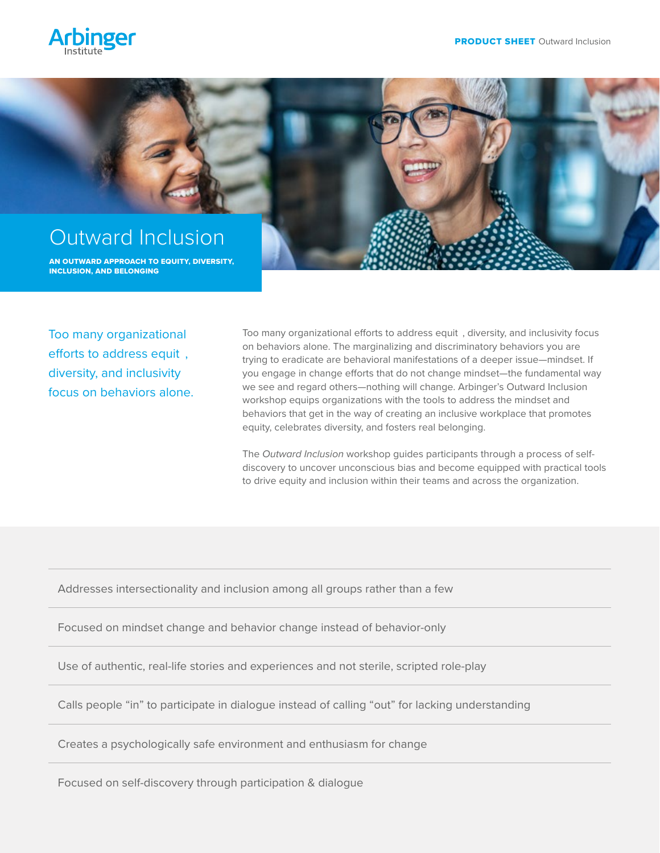



Too many organizational efforts to address equit , diversity, and inclusivity focus on behaviors alone. Too many organizational efforts to address equit , diversity, and inclusivity focus on behaviors alone. The marginalizing and discriminatory behaviors you are trying to eradicate are behavioral manifestations of a deeper issue—mindset. If you engage in change efforts that do not change mindset—the fundamental way we see and regard others—nothing will change. Arbinger's Outward Inclusion workshop equips organizations with the tools to address the mindset and behaviors that get in the way of creating an inclusive workplace that promotes equity, celebrates diversity, and fosters real belonging.

The *Outward Inclusion* workshop guides participants through a process of selfdiscovery to uncover unconscious bias and become equipped with practical tools to drive equity and inclusion within their teams and across the organization.

Addresses intersectionality and inclusion among all groups rather than a few

Focused on mindset change and behavior change instead of behavior-only

Use of authentic, real-life stories and experiences and not sterile, scripted role-play

Calls people "in" to participate in dialogue instead of calling "out" for lacking understanding

Creates a psychologically safe environment and enthusiasm for change

Focused on self-discovery through participation & dialogue